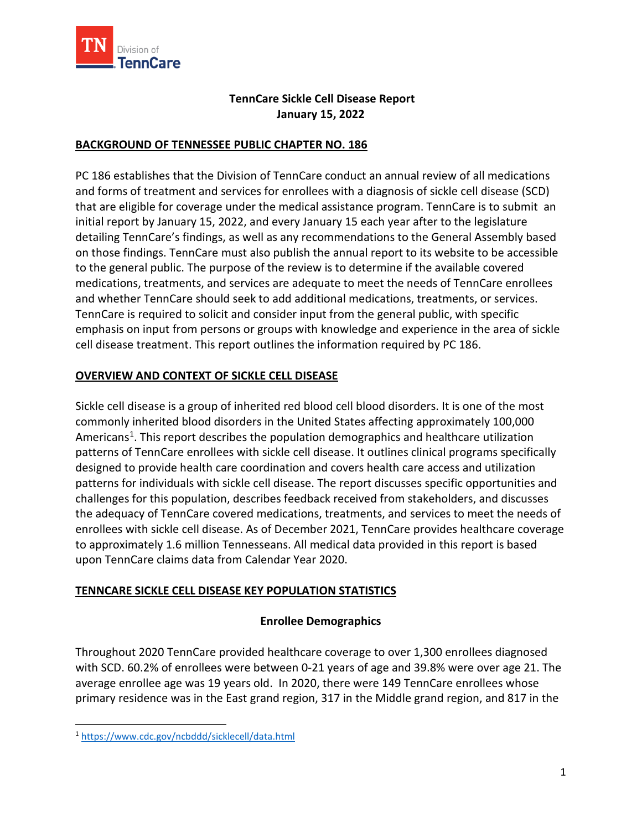

## **TennCare Sickle Cell Disease Report January 15, 2022**

## **BACKGROUND OF TENNESSEE PUBLIC CHAPTER NO. 186**

PC 186 establishes that the Division of TennCare conduct an annual review of all medications and forms of treatment and services for enrollees with a diagnosis of sickle cell disease (SCD) that are eligible for coverage under the medical assistance program. TennCare is to submit an initial report by January 15, 2022, and every January 15 each year after to the legislature detailing TennCare's findings, as well as any recommendations to the General Assembly based on those findings. TennCare must also publish the annual report to its website to be accessible to the general public. The purpose of the review is to determine if the available covered medications, treatments, and services are adequate to meet the needs of TennCare enrollees and whether TennCare should seek to add additional medications, treatments, or services. TennCare is required to solicit and consider input from the general public, with specific emphasis on input from persons or groups with knowledge and experience in the area of sickle cell disease treatment. This report outlines the information required by PC 186.

## **OVERVIEW AND CONTEXT OF SICKLE CELL DISEASE**

Sickle cell disease is a group of inherited red blood cell blood disorders. It is one of the most commonly inherited blood disorders in the United States affecting approximately 100,000 Americans<sup>1</sup>. This report describes the population demographics and healthcare utilization patterns of TennCare enrollees with sickle cell disease. It outlines clinical programs specifically designed to provide health care coordination and covers health care access and utilization patterns for individuals with sickle cell disease. The report discusses specific opportunities and challenges for this population, describes feedback received from stakeholders, and discusses the adequacy of TennCare covered medications, treatments, and services to meet the needs of enrollees with sickle cell disease. As of December 2021, TennCare provides healthcare coverage to approximately 1.6 million Tennesseans. All medical data provided in this report is based upon TennCare claims data from Calendar Year 2020.

## **TENNCARE SICKLE CELL DISEASE KEY POPULATION STATISTICS**

## **Enrollee Demographics**

Throughout 2020 TennCare provided healthcare coverage to over 1,300 enrollees diagnosed with SCD. 60.2% of enrollees were between 0-21 years of age and 39.8% were over age 21. The average enrollee age was 19 years old. In 2020, there were 149 TennCare enrollees whose primary residence was in the East grand region, 317 in the Middle grand region, and 817 in the

<span id="page-0-0"></span><sup>1</sup> <https://www.cdc.gov/ncbddd/sicklecell/data.html>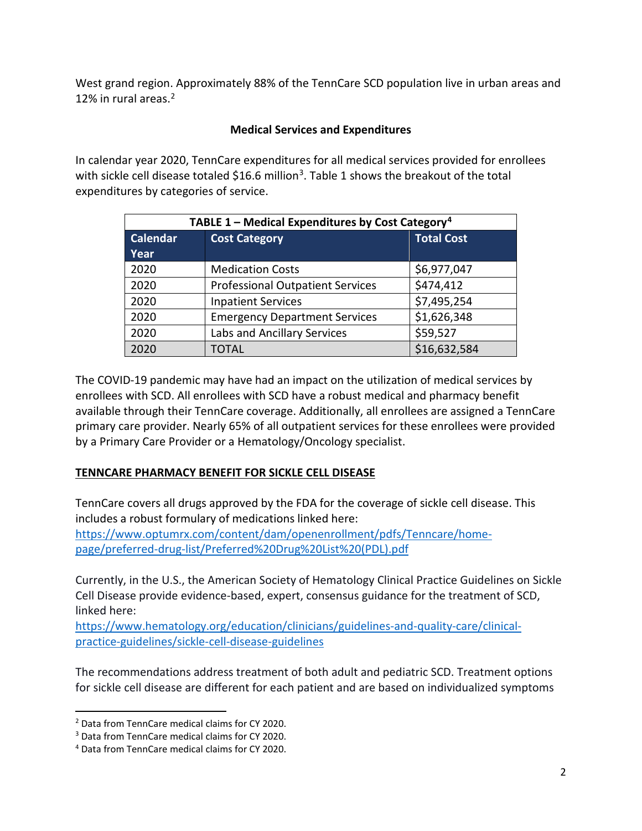West grand region. Approximately 88% of the TennCare SCD population live in urban areas and 12% in rural areas. [2](#page-1-0)

## **Medical Services and Expenditures**

In calendar year 2020, TennCare expenditures for all medical services provided for enrollees with sickle cell disease totaled \$16.6 million<sup>3</sup>. Table 1 shows the breakout of the total expenditures by categories of service.

| TABLE 1 – Medical Expenditures by Cost Category <sup>4</sup> |                                         |                   |  |  |  |
|--------------------------------------------------------------|-----------------------------------------|-------------------|--|--|--|
| <b>Calendar</b>                                              | <b>Cost Category</b>                    | <b>Total Cost</b> |  |  |  |
| Year                                                         |                                         |                   |  |  |  |
| 2020                                                         | <b>Medication Costs</b>                 | \$6,977,047       |  |  |  |
| 2020                                                         | <b>Professional Outpatient Services</b> | \$474,412         |  |  |  |
| 2020                                                         | <b>Inpatient Services</b>               | \$7,495,254       |  |  |  |
| 2020                                                         | <b>Emergency Department Services</b>    | \$1,626,348       |  |  |  |
| 2020                                                         | Labs and Ancillary Services             | \$59,527          |  |  |  |
| 2020                                                         | TOTAL                                   | \$16,632,584      |  |  |  |

The COVID-19 pandemic may have had an impact on the utilization of medical services by enrollees with SCD. All enrollees with SCD have a robust medical and pharmacy benefit available through their TennCare coverage. Additionally, all enrollees are assigned a TennCare primary care provider. Nearly 65% of all outpatient services for these enrollees were provided by a Primary Care Provider or a Hematology/Oncology specialist.

## **TENNCARE PHARMACY BENEFIT FOR SICKLE CELL DISEASE**

TennCare covers all drugs approved by the FDA for the coverage of sickle cell disease. This includes a robust formulary of medications linked here:

[https://www.optumrx.com/content/dam/openenrollment/pdfs/Tenncare/home](https://www.optumrx.com/content/dam/openenrollment/pdfs/Tenncare/home-page/preferred-drug-list/Preferred%20Drug%20List%20(PDL).pdf)[page/preferred-drug-list/Preferred%20Drug%20List%20\(PDL\).pdf](https://www.optumrx.com/content/dam/openenrollment/pdfs/Tenncare/home-page/preferred-drug-list/Preferred%20Drug%20List%20(PDL).pdf)

Currently, in the U.S., the American Society of Hematology Clinical Practice Guidelines on Sickle Cell Disease provide evidence-based, expert, consensus guidance for the treatment of SCD, linked here:

[https://www.hematology.org/education/clinicians/guidelines-and-quality-care/clinical](https://www.hematology.org/education/clinicians/guidelines-and-quality-care/clinical-practice-guidelines/sickle-cell-disease-guidelines)[practice-guidelines/sickle-cell-disease-guidelines](https://www.hematology.org/education/clinicians/guidelines-and-quality-care/clinical-practice-guidelines/sickle-cell-disease-guidelines)

The recommendations address treatment of both adult and pediatric SCD. Treatment options for sickle cell disease are different for each patient and are based on individualized symptoms

<span id="page-1-0"></span><sup>2</sup> Data from TennCare medical claims for CY 2020.

<span id="page-1-1"></span><sup>3</sup> Data from TennCare medical claims for CY 2020.

<span id="page-1-2"></span><sup>4</sup> Data from TennCare medical claims for CY 2020.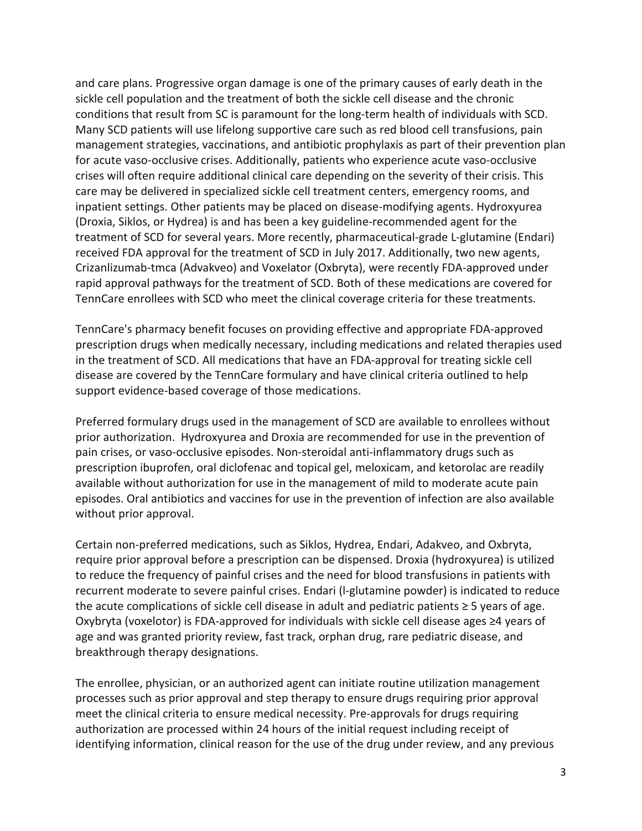and care plans. Progressive organ damage is one of the primary causes of early death in the sickle cell population and the treatment of both the sickle cell disease and the chronic conditions that result from SC is paramount for the long-term health of individuals with SCD. Many SCD patients will use lifelong supportive care such as red blood cell transfusions, pain management strategies, vaccinations, and antibiotic prophylaxis as part of their prevention plan for acute vaso-occlusive crises. Additionally, patients who experience acute vaso-occlusive crises will often require additional clinical care depending on the severity of their crisis. This care may be delivered in specialized sickle cell treatment centers, emergency rooms, and inpatient settings. Other patients may be placed on disease-modifying agents. Hydroxyurea (Droxia, Siklos, or Hydrea) is and has been a key guideline-recommended agent for the treatment of SCD for several years. More recently, pharmaceutical-grade L-glutamine (Endari) received FDA approval for the treatment of SCD in July 2017. Additionally, two new agents, Crizanlizumab-tmca (Advakveo) and Voxelator (Oxbryta), were recently FDA-approved under rapid approval pathways for the treatment of SCD. Both of these medications are covered for TennCare enrollees with SCD who meet the clinical coverage criteria for these treatments.

TennCare's pharmacy benefit focuses on providing effective and appropriate FDA-approved prescription drugs when medically necessary, including medications and related therapies used in the treatment of SCD. All medications that have an FDA-approval for treating sickle cell disease are covered by the TennCare formulary and have clinical criteria outlined to help support evidence-based coverage of those medications.

Preferred formulary drugs used in the management of SCD are available to enrollees without prior authorization. Hydroxyurea and Droxia are recommended for use in the prevention of pain crises, or vaso-occlusive episodes. Non-steroidal anti-inflammatory drugs such as prescription ibuprofen, oral diclofenac and topical gel, meloxicam, and ketorolac are readily available without authorization for use in the management of mild to moderate acute pain episodes. Oral antibiotics and vaccines for use in the prevention of infection are also available without prior approval.

Certain non-preferred medications, such as Siklos, Hydrea, Endari, Adakveo, and Oxbryta, require prior approval before a prescription can be dispensed. Droxia (hydroxyurea) is utilized to reduce the frequency of painful crises and the need for blood transfusions in patients with recurrent moderate to severe painful crises. Endari (l-glutamine powder) is indicated to reduce the acute complications of sickle cell disease in adult and pediatric patients ≥ 5 years of age. Oxybryta (voxelotor) is FDA-approved for individuals with sickle cell disease ages ≥4 years of age and was granted priority review, fast track, orphan drug, rare pediatric disease, and breakthrough therapy designations.

The enrollee, physician, or an authorized agent can initiate routine utilization management processes such as prior approval and step therapy to ensure drugs requiring prior approval meet the clinical criteria to ensure medical necessity. Pre-approvals for drugs requiring authorization are processed within 24 hours of the initial request including receipt of identifying information, clinical reason for the use of the drug under review, and any previous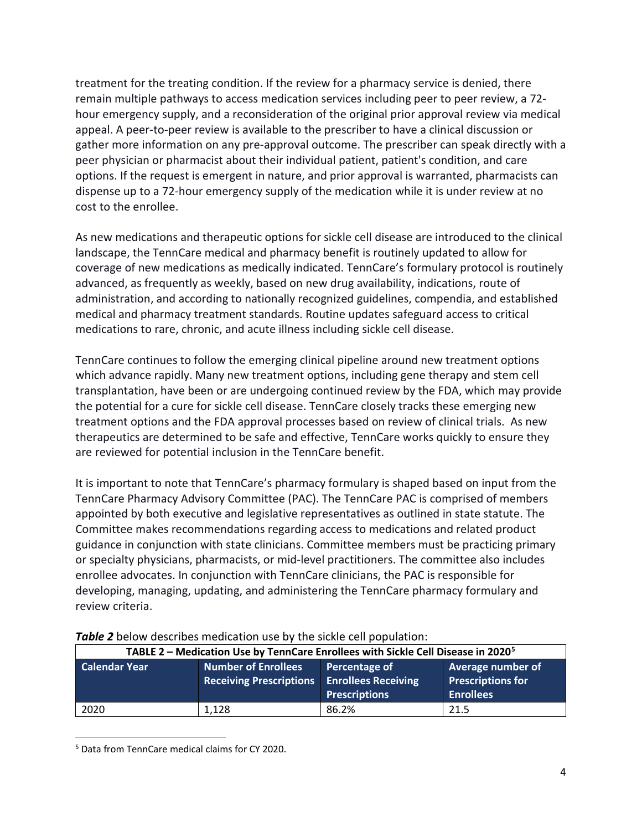treatment for the treating condition. If the review for a pharmacy service is denied, there remain multiple pathways to access medication services including peer to peer review, a 72 hour emergency supply, and a reconsideration of the original prior approval review via medical appeal. A peer-to-peer review is available to the prescriber to have a clinical discussion or gather more information on any pre-approval outcome. The prescriber can speak directly with a peer physician or pharmacist about their individual patient, patient's condition, and care options. If the request is emergent in nature, and prior approval is warranted, pharmacists can dispense up to a 72-hour emergency supply of the medication while it is under review at no cost to the enrollee.

As new medications and therapeutic options for sickle cell disease are introduced to the clinical landscape, the TennCare medical and pharmacy benefit is routinely updated to allow for coverage of new medications as medically indicated. TennCare's formulary protocol is routinely advanced, as frequently as weekly, based on new drug availability, indications, route of administration, and according to nationally recognized guidelines, compendia, and established medical and pharmacy treatment standards. Routine updates safeguard access to critical medications to rare, chronic, and acute illness including sickle cell disease.

TennCare continues to follow the emerging clinical pipeline around new treatment options which advance rapidly. Many new treatment options, including gene therapy and stem cell transplantation, have been or are undergoing continued review by the FDA, which may provide the potential for a cure for sickle cell disease. TennCare closely tracks these emerging new treatment options and the FDA approval processes based on review of clinical trials. As new therapeutics are determined to be safe and effective, TennCare works quickly to ensure they are reviewed for potential inclusion in the TennCare benefit.

It is important to note that TennCare's pharmacy formulary is shaped based on input from the TennCare Pharmacy Advisory Committee (PAC). The TennCare PAC is comprised of members appointed by both executive and legislative representatives as outlined in state statute. The Committee makes recommendations regarding access to medications and related product guidance in conjunction with state clinicians. Committee members must be practicing primary or specialty physicians, pharmacists, or mid-level practitioners. The committee also includes enrollee advocates. In conjunction with TennCare clinicians, the PAC is responsible for developing, managing, updating, and administering the TennCare pharmacy formulary and review criteria.

| TABLE 2 – Medication Use by TennCare Enrollees with Sickle Cell Disease in 2020 <sup>5</sup> |                                                              |                                                                     |                                                                   |  |  |  |
|----------------------------------------------------------------------------------------------|--------------------------------------------------------------|---------------------------------------------------------------------|-------------------------------------------------------------------|--|--|--|
| <b>Calendar Year</b>                                                                         | <b>Number of Enrollees</b><br><b>Receiving Prescriptions</b> | Percentage of<br><b>Enrollees Receiving</b><br><b>Prescriptions</b> | Average number of<br><b>Prescriptions for</b><br><b>Enrollees</b> |  |  |  |
| 2020                                                                                         | 1,128                                                        | 86.2%                                                               | 21.5                                                              |  |  |  |

### *Table 2* below describes medication use by the sickle cell population:

<span id="page-3-0"></span><sup>5</sup> Data from TennCare medical claims for CY 2020.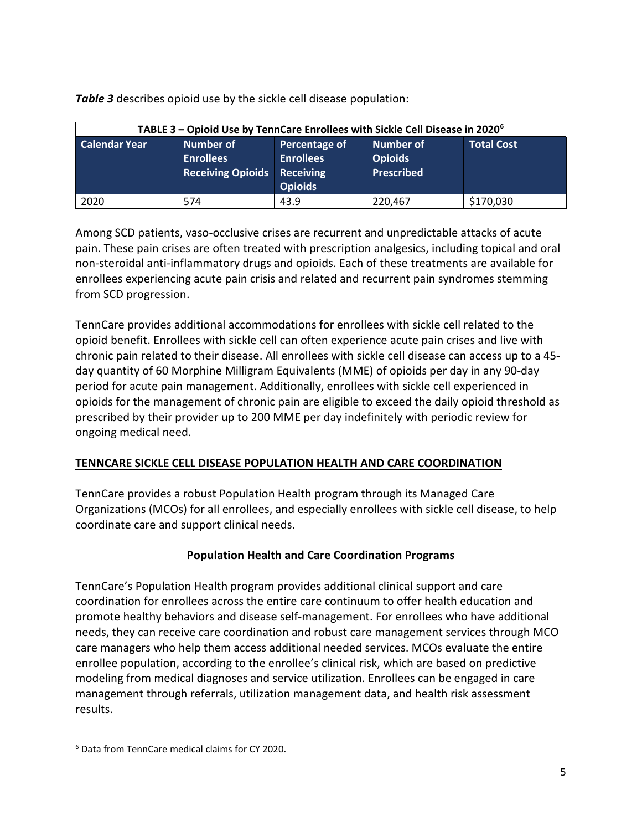*Table 3* describes opioid use by the sickle cell disease population:

| TABLE 3 – Opioid Use by TennCare Enrollees with Sickle Cell Disease in 2020 <sup>6</sup> |                                                           |                                                                  |                                                         |                   |  |  |  |
|------------------------------------------------------------------------------------------|-----------------------------------------------------------|------------------------------------------------------------------|---------------------------------------------------------|-------------------|--|--|--|
| <b>Calendar Year</b>                                                                     | Number of<br><b>Enrollees</b><br><b>Receiving Opioids</b> | Percentage of<br><b>Enrollees</b><br>Receiving<br><b>Opioids</b> | <b>Number of</b><br><b>Opioids</b><br><b>Prescribed</b> | <b>Total Cost</b> |  |  |  |
| 2020                                                                                     | 574                                                       | 43.9                                                             | 220,467                                                 | \$170,030         |  |  |  |

Among SCD patients, vaso-occlusive crises are recurrent and unpredictable attacks of acute pain. These pain crises are often treated with prescription analgesics, including topical and oral non-steroidal anti-inflammatory drugs and opioids. Each of these treatments are available for enrollees experiencing acute pain crisis and related and recurrent pain syndromes stemming from SCD progression.

TennCare provides additional accommodations for enrollees with sickle cell related to the opioid benefit. Enrollees with sickle cell can often experience acute pain crises and live with chronic pain related to their disease. All enrollees with sickle cell disease can access up to a 45 day quantity of 60 Morphine Milligram Equivalents (MME) of opioids per day in any 90-day period for acute pain management. Additionally, enrollees with sickle cell experienced in opioids for the management of chronic pain are eligible to exceed the daily opioid threshold as prescribed by their provider up to 200 MME per day indefinitely with periodic review for ongoing medical need.

## **TENNCARE SICKLE CELL DISEASE POPULATION HEALTH AND CARE COORDINATION**

TennCare provides a robust Population Health program through its Managed Care Organizations (MCOs) for all enrollees, and especially enrollees with sickle cell disease, to help coordinate care and support clinical needs.

## **Population Health and Care Coordination Programs**

TennCare's Population Health program provides additional clinical support and care coordination for enrollees across the entire care continuum to offer health education and promote healthy behaviors and disease self-management. For enrollees who have additional needs, they can receive care coordination and robust care management services through MCO care managers who help them access additional needed services. MCOs evaluate the entire enrollee population, according to the enrollee's clinical risk, which are based on predictive modeling from medical diagnoses and service utilization. Enrollees can be engaged in care management through referrals, utilization management data, and health risk assessment results.

<span id="page-4-0"></span><sup>6</sup> Data from TennCare medical claims for CY 2020.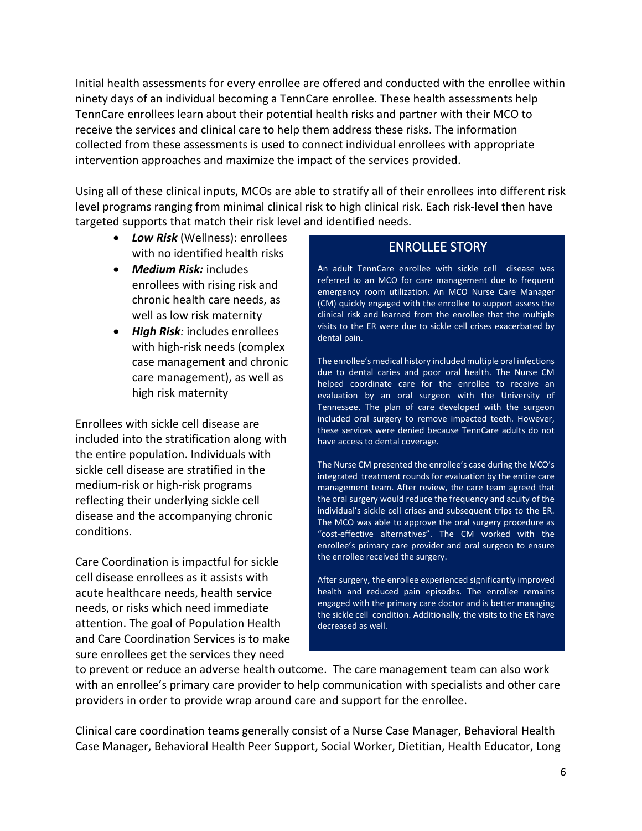Initial health assessments for every enrollee are offered and conducted with the enrollee within ninety days of an individual becoming a TennCare enrollee. These health assessments help TennCare enrollees learn about their potential health risks and partner with their MCO to receive the services and clinical care to help them address these risks. The information collected from these assessments is used to connect individual enrollees with appropriate intervention approaches and maximize the impact of the services provided.

Using all of these clinical inputs, MCOs are able to stratify all of their enrollees into different risk level programs ranging from minimal clinical risk to high clinical risk. Each risk-level then have targeted supports that match their risk level and identified needs.

- *Low Risk* (Wellness): enrollees with no identified health risks
- *Medium Risk:* includes enrollees with rising risk and chronic health care needs, as well as low risk maternity
- *High Risk:* includes enrollees with high-risk needs (complex case management and chronic care management), as well as high risk maternity

Enrollees with sickle cell disease are included into the stratification along with the entire population. Individuals with sickle cell disease are stratified in the medium-risk or high-risk programs reflecting their underlying sickle cell disease and the accompanying chronic conditions.

Care Coordination is impactful for sickle cell disease enrollees as it assists with acute healthcare needs, health service needs, or risks which need immediate attention. The goal of Population Health and Care Coordination Services is to make sure enrollees get the services they need

# ENROLLEE STORY

An adult TennCare enrollee with sickle cell disease was referred to an MCO for care management due to frequent emergency room utilization. An MCO Nurse Care Manager (CM) quickly engaged with the enrollee to support assess the clinical risk and learned from the enrollee that the multiple visits to the ER were due to sickle cell crises exacerbated by dental pain.

The enrollee's medical history included multiple oral infections due to dental caries and poor oral health. The Nurse CM helped coordinate care for the enrollee to receive an evaluation by an oral surgeon with the University of Tennessee. The plan of care developed with the surgeon included oral surgery to remove impacted teeth. However, these services were denied because TennCare adults do not have access to dental coverage.

The Nurse CM presented the enrollee's case during the MCO's integrated treatment rounds for evaluation by the entire care management team. After review, the care team agreed that the oral surgery would reduce the frequency and acuity of the individual's sickle cell crises and subsequent trips to the ER. The MCO was able to approve the oral surgery procedure as "cost-effective alternatives". The CM worked with the enrollee's primary care provider and oral surgeon to ensure the enrollee received the surgery.

After surgery, the enrollee experienced significantly improved health and reduced pain episodes. The enrollee remains engaged with the primary care doctor and is better managing the sickle cell condition. Additionally, the visits to the ER have decreased as well.

to prevent or reduce an adverse health outcome. The care management team can also work with an enrollee's primary care provider to help communication with specialists and other care providers in order to provide wrap around care and support for the enrollee.

Clinical care coordination teams generally consist of a Nurse Case Manager, Behavioral Health Case Manager, Behavioral Health Peer Support, Social Worker, Dietitian, Health Educator, Long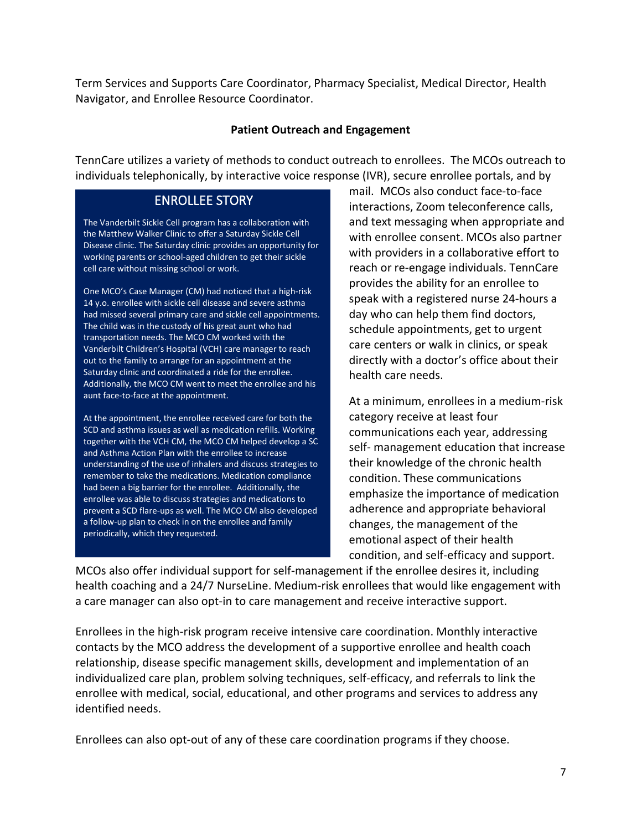Term Services and Supports Care Coordinator, Pharmacy Specialist, Medical Director, Health Navigator, and Enrollee Resource Coordinator.

#### **Patient Outreach and Engagement**

TennCare utilizes a variety of methods to conduct outreach to enrollees. The MCOs outreach to individuals telephonically, by interactive voice response (IVR), secure enrollee portals, and by

## ENROLLEE STORY

The Vanderbilt Sickle Cell program has a collaboration with the Matthew Walker Clinic to offer a Saturday Sickle Cell Disease clinic. The Saturday clinic provides an opportunity for working parents or school-aged children to get their sickle cell care without missing school or work.

One MCO's Case Manager (CM) had noticed that a high-risk 14 y.o. enrollee with sickle cell disease and severe asthma had missed several primary care and sickle cell appointments. The child was in the custody of his great aunt who had transportation needs. The MCO CM worked with the Vanderbilt Children's Hospital (VCH) care manager to reach out to the family to arrange for an appointment at the Saturday clinic and coordinated a ride for the enrollee. Additionally, the MCO CM went to meet the enrollee and his aunt face-to-face at the appointment.

At the appointment, the enrollee received care for both the SCD and asthma issues as well as medication refills. Working together with the VCH CM, the MCO CM helped develop a SC and Asthma Action Plan with the enrollee to increase understanding of the use of inhalers and discuss strategies to remember to take the medications. Medication compliance had been a big barrier for the enrollee. Additionally, the enrollee was able to discuss strategies and medications to prevent a SCD flare-ups as well. The MCO CM also developed a follow-up plan to check in on the enrollee and family periodically, which they requested.

mail. MCOs also conduct face-to-face interactions, Zoom teleconference calls, and text messaging when appropriate and with enrollee consent. MCOs also partner with providers in a collaborative effort to reach or re-engage individuals. TennCare provides the ability for an enrollee to speak with a registered nurse 24-hours a day who can help them find doctors, schedule appointments, get to urgent care centers or walk in clinics, or speak directly with a doctor's office about their health care needs.

At a minimum, enrollees in a medium-risk category receive at least four communications each year, addressing self- management education that increase their knowledge of the chronic health condition. These communications emphasize the importance of medication adherence and appropriate behavioral changes, the management of the emotional aspect of their health condition, and self-efficacy and support.

MCOs also offer individual support for self-management if the enrollee desires it, including health coaching and a 24/7 NurseLine. Medium-risk enrollees that would like engagement with a care manager can also opt-in to care management and receive interactive support.

Enrollees in the high-risk program receive intensive care coordination. Monthly interactive contacts by the MCO address the development of a supportive enrollee and health coach relationship, disease specific management skills, development and implementation of an individualized care plan, problem solving techniques, self-efficacy, and referrals to link the enrollee with medical, social, educational, and other programs and services to address any identified needs.

Enrollees can also opt-out of any of these care coordination programs if they choose.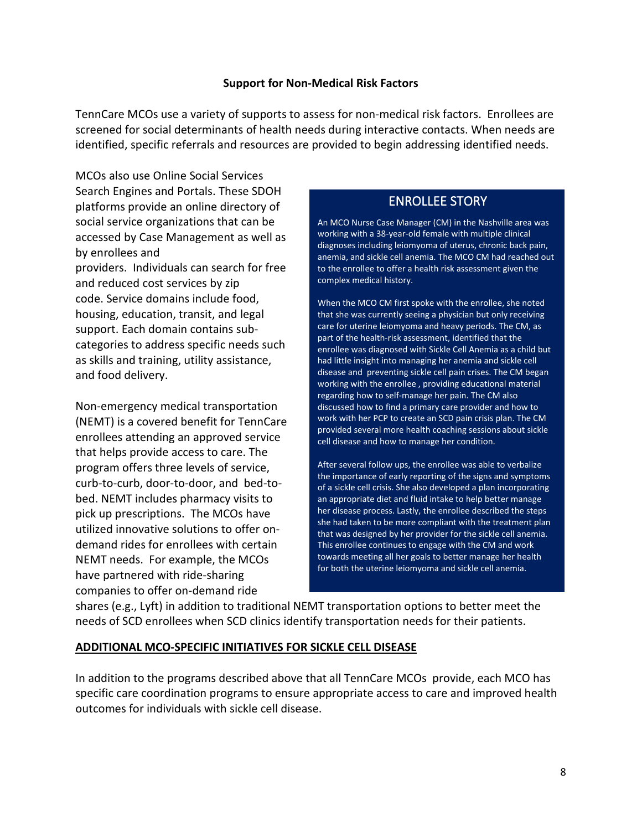#### **Support for Non-Medical Risk Factors**

TennCare MCOs use a variety of supports to assess for non-medical risk factors. Enrollees are screened for social determinants of health needs during interactive contacts. When needs are identified, specific referrals and resources are provided to begin addressing identified needs.

MCOs also use Online Social Services Search Engines and Portals. These SDOH platforms provide an online directory of social service organizations that can be accessed by Case Management as well as by enrollees and providers. Individuals can search for free and reduced cost services by zip code. Service domains include food, housing, education, transit, and legal support. Each domain contains subcategories to address specific needs such as skills and training, utility assistance, and food delivery.

Non-emergency medical transportation (NEMT) is a covered benefit for TennCare enrollees attending an approved service that helps provide access to care. The program offers three levels of service, curb-to-curb, door-to-door, and bed-tobed. NEMT includes pharmacy visits to pick up prescriptions. The MCOs have utilized innovative solutions to offer ondemand rides for enrollees with certain NEMT needs. For example, the MCOs have partnered with ride-sharing companies to offer on-demand ride

# ENROLLEE STORY

An MCO Nurse Case Manager (CM) in the Nashville area was working with a 38-year-old female with multiple clinical diagnoses including leiomyoma of uterus, chronic back pain, anemia, and sickle cell anemia. The MCO CM had reached out to the enrollee to offer a health risk assessment given the complex medical history.

When the MCO CM first spoke with the enrollee, she noted that she was currently seeing a physician but only receiving care for uterine leiomyoma and heavy periods. The CM, as part of the health-risk assessment, identified that the enrollee was diagnosed with Sickle Cell Anemia as a child but had little insight into managing her anemia and sickle cell disease and preventing sickle cell pain crises. The CM began working with the enrollee , providing educational material regarding how to self-manage her pain. The CM also discussed how to find a primary care provider and how to work with her PCP to create an SCD pain crisis plan. The CM provided several more health coaching sessions about sickle cell disease and how to manage her condition.

After several follow ups, the enrollee was able to verbalize the importance of early reporting of the signs and symptoms of a sickle cell crisis. She also developed a plan incorporating an appropriate diet and fluid intake to help better manage her disease process. Lastly, the enrollee described the steps she had taken to be more compliant with the treatment plan that was designed by her provider for the sickle cell anemia. This enrollee continues to engage with the CM and work towards meeting all her goals to better manage her health for both the uterine leiomyoma and sickle cell anemia.

shares (e.g., Lyft) in addition to traditional NEMT transportation options to better meet the needs of SCD enrollees when SCD clinics identify transportation needs for their patients.

### **ADDITIONAL MCO-SPECIFIC INITIATIVES FOR SICKLE CELL DISEASE**

In addition to the programs described above that all TennCare MCOs provide, each MCO has specific care coordination programs to ensure appropriate access to care and improved health outcomes for individuals with sickle cell disease.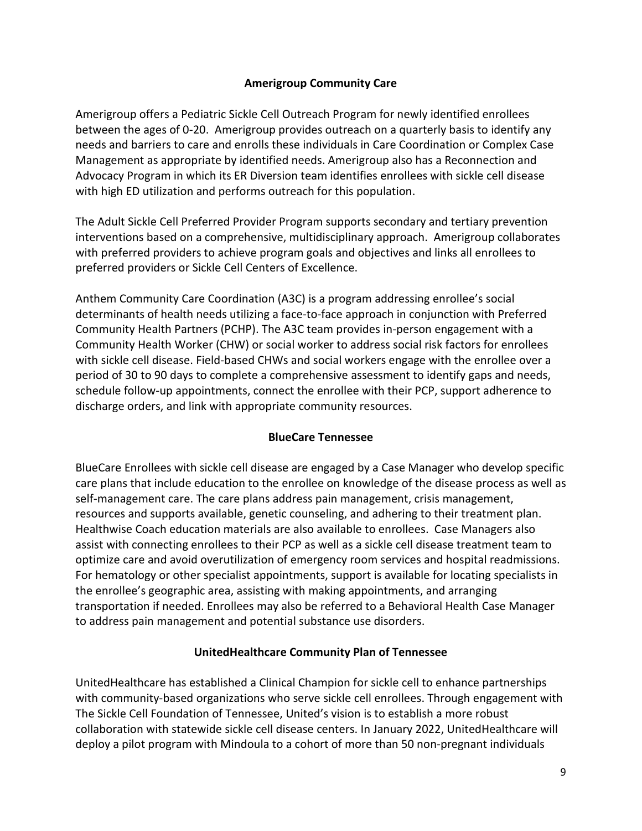### **Amerigroup Community Care**

Amerigroup offers a Pediatric Sickle Cell Outreach Program for newly identified enrollees between the ages of 0-20. Amerigroup provides outreach on a quarterly basis to identify any needs and barriers to care and enrolls these individuals in Care Coordination or Complex Case Management as appropriate by identified needs. Amerigroup also has a Reconnection and Advocacy Program in which its ER Diversion team identifies enrollees with sickle cell disease with high ED utilization and performs outreach for this population.

The Adult Sickle Cell Preferred Provider Program supports secondary and tertiary prevention interventions based on a comprehensive, multidisciplinary approach. Amerigroup collaborates with preferred providers to achieve program goals and objectives and links all enrollees to preferred providers or Sickle Cell Centers of Excellence.

Anthem Community Care Coordination (A3C) is a program addressing enrollee's social determinants of health needs utilizing a face-to-face approach in conjunction with Preferred Community Health Partners (PCHP). The A3C team provides in-person engagement with a Community Health Worker (CHW) or social worker to address social risk factors for enrollees with sickle cell disease. Field-based CHWs and social workers engage with the enrollee over a period of 30 to 90 days to complete a comprehensive assessment to identify gaps and needs, schedule follow-up appointments, connect the enrollee with their PCP, support adherence to discharge orders, and link with appropriate community resources.

### **BlueCare Tennessee**

BlueCare Enrollees with sickle cell disease are engaged by a Case Manager who develop specific care plans that include education to the enrollee on knowledge of the disease process as well as self-management care. The care plans address pain management, crisis management, resources and supports available, genetic counseling, and adhering to their treatment plan. Healthwise Coach education materials are also available to enrollees. Case Managers also assist with connecting enrollees to their PCP as well as a sickle cell disease treatment team to optimize care and avoid overutilization of emergency room services and hospital readmissions. For hematology or other specialist appointments, support is available for locating specialists in the enrollee's geographic area, assisting with making appointments, and arranging transportation if needed. Enrollees may also be referred to a Behavioral Health Case Manager to address pain management and potential substance use disorders.

### **UnitedHealthcare Community Plan of Tennessee**

UnitedHealthcare has established a Clinical Champion for sickle cell to enhance partnerships with community-based organizations who serve sickle cell enrollees. Through engagement with The Sickle Cell Foundation of Tennessee, United's vision is to establish a more robust collaboration with statewide sickle cell disease centers. In January 2022, UnitedHealthcare will deploy a pilot program with Mindoula to a cohort of more than 50 non-pregnant individuals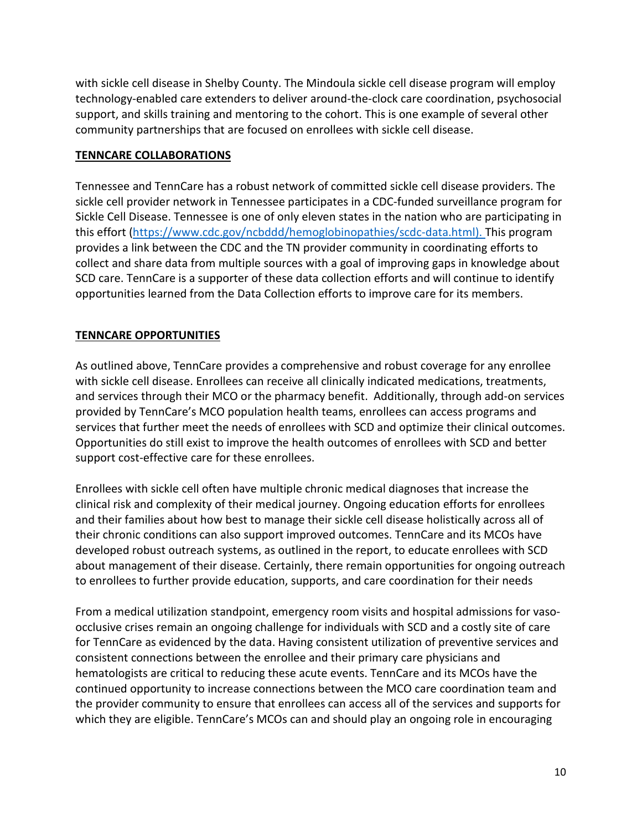with sickle cell disease in Shelby County. The Mindoula sickle cell disease program will employ technology-enabled care extenders to deliver around-the-clock care coordination, psychosocial support, and skills training and mentoring to the cohort. This is one example of several other community partnerships that are focused on enrollees with sickle cell disease.

### **TENNCARE COLLABORATIONS**

Tennessee and TennCare has a robust network of committed sickle cell disease providers. The sickle cell provider network in Tennessee participates in a CDC-funded surveillance program for Sickle Cell Disease. Tennessee is one of only eleven states in the nation who are participating in this effort [\(https://www.cdc.gov/ncbddd/hemoglobinopathies/scdc-data.html\)](https://www.cdc.gov/ncbddd/hemoglobinopathies/scdc-data.html). This program provides a link between the CDC and the TN provider community in coordinating efforts to collect and share data from multiple sources with a goal of improving gaps in knowledge about SCD care. TennCare is a supporter of these data collection efforts and will continue to identify opportunities learned from the Data Collection efforts to improve care for its members.

### **TENNCARE OPPORTUNITIES**

As outlined above, TennCare provides a comprehensive and robust coverage for any enrollee with sickle cell disease. Enrollees can receive all clinically indicated medications, treatments, and services through their MCO or the pharmacy benefit. Additionally, through add-on services provided by TennCare's MCO population health teams, enrollees can access programs and services that further meet the needs of enrollees with SCD and optimize their clinical outcomes. Opportunities do still exist to improve the health outcomes of enrollees with SCD and better support cost-effective care for these enrollees.

Enrollees with sickle cell often have multiple chronic medical diagnoses that increase the clinical risk and complexity of their medical journey. Ongoing education efforts for enrollees and their families about how best to manage their sickle cell disease holistically across all of their chronic conditions can also support improved outcomes. TennCare and its MCOs have developed robust outreach systems, as outlined in the report, to educate enrollees with SCD about management of their disease. Certainly, there remain opportunities for ongoing outreach to enrollees to further provide education, supports, and care coordination for their needs

From a medical utilization standpoint, emergency room visits and hospital admissions for vasoocclusive crises remain an ongoing challenge for individuals with SCD and a costly site of care for TennCare as evidenced by the data. Having consistent utilization of preventive services and consistent connections between the enrollee and their primary care physicians and hematologists are critical to reducing these acute events. TennCare and its MCOs have the continued opportunity to increase connections between the MCO care coordination team and the provider community to ensure that enrollees can access all of the services and supports for which they are eligible. TennCare's MCOs can and should play an ongoing role in encouraging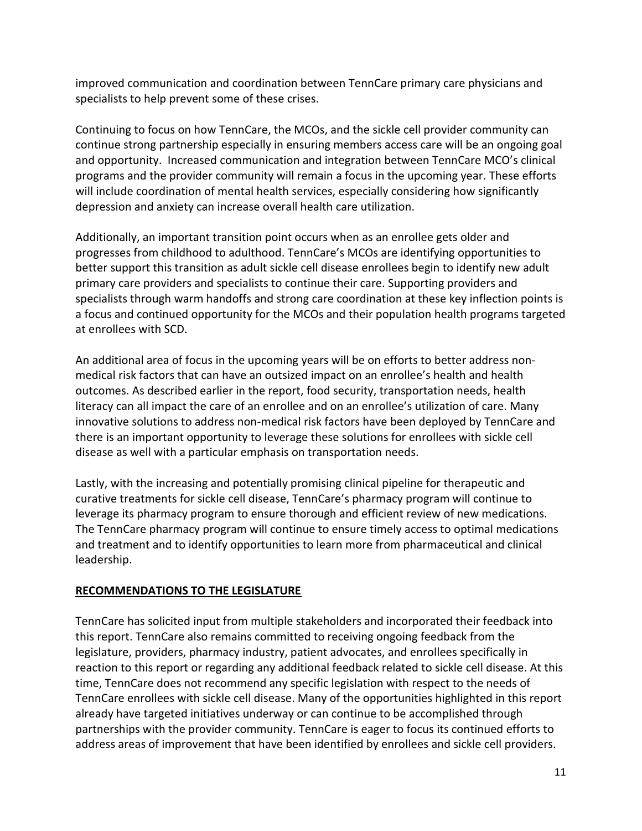improved communication and coordination between TennCare primary care physicians and specialists to help prevent some of these crises.

Continuing to focus on how TennCare, the MCOs, and the sickle cell provider community can continue strong partnership especially in ensuring members access care will be an ongoing goal and opportunity. Increased communication and integration between TennCare MCO's clinical programs and the provider community will remain a focus in the upcoming year. These efforts will include coordination of mental health services, especially considering how significantly depression and anxiety can increase overall health care utilization.

Additionally, an important transition point occurs when as an enrollee gets older and progresses from childhood to adulthood. TennCare's MCOs are identifying opportunities to better support this transition as adult sickle cell disease enrollees begin to identify new adult primary care providers and specialists to continue their care. Supporting providers and specialists through warm handoffs and strong care coordination at these key inflection points is a focus and continued opportunity for the MCOs and their population health programs targeted at enrollees with SCD.

An additional area of focus in the upcoming years will be on efforts to better address nonmedical risk factors that can have an outsized impact on an enrollee's health and health outcomes. As described earlier in the report, food security, transportation needs, health literacy can all impact the care of an enrollee and on an enrollee's utilization of care. Many innovative solutions to address non-medical risk factors have been deployed by TennCare and there is an important opportunity to leverage these solutions for enrollees with sickle cell disease as well with a particular emphasis on transportation needs.

Lastly, with the increasing and potentially promising clinical pipeline for therapeutic and curative treatments for sickle cell disease, TennCare's pharmacy program will continue to leverage its pharmacy program to ensure thorough and efficient review of new medications. The TennCare pharmacy program will continue to ensure timely access to optimal medications and treatment and to identify opportunities to learn more from pharmaceutical and clinical leadership.

## **RECOMMENDATIONS TO THE LEGISLATURE**

TennCare has solicited input from multiple stakeholders and incorporated their feedback into this report. TennCare also remains committed to receiving ongoing feedback from the legislature, providers, pharmacy industry, patient advocates, and enrollees specifically in reaction to this report or regarding any additional feedback related to sickle cell disease. At this time, TennCare does not recommend any specific legislation with respect to the needs of TennCare enrollees with sickle cell disease. Many of the opportunities highlighted in this report already have targeted initiatives underway or can continue to be accomplished through partnerships with the provider community. TennCare is eager to focus its continued efforts to address areas of improvement that have been identified by enrollees and sickle cell providers.